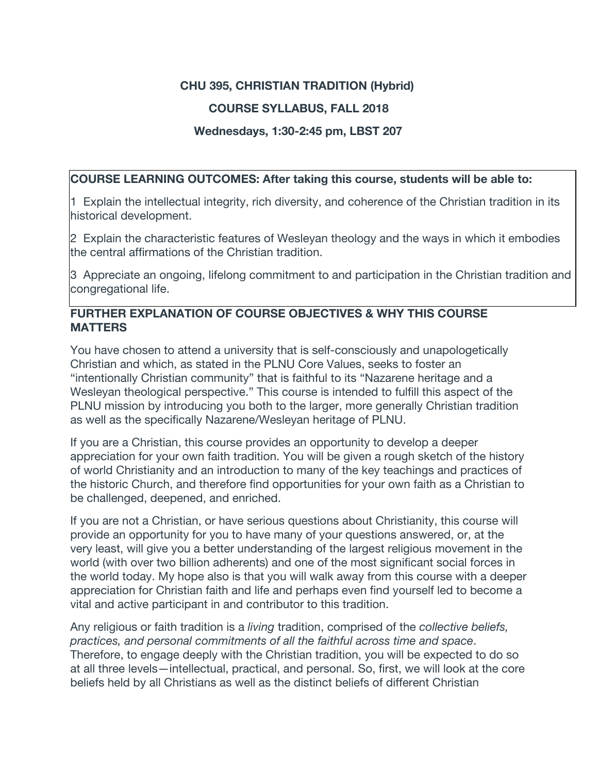## **CHU 395, CHRISTIAN TRADITION (Hybrid)**

## **COURSE SYLLABUS, FALL 2018**

#### **Wednesdays, 1:30-2:45 pm, LBST 207**

#### **COURSE LEARNING OUTCOMES: After taking this course, students will be able to:**

1 Explain the intellectual integrity, rich diversity, and coherence of the Christian tradition in its historical development.

2 Explain the characteristic features of Wesleyan theology and the ways in which it embodies the central affirmations of the Christian tradition.

3 Appreciate an ongoing, lifelong commitment to and participation in the Christian tradition and congregational life.

#### **FURTHER EXPLANATION OF COURSE OBJECTIVES & WHY THIS COURSE MATTERS**

You have chosen to attend a university that is self-consciously and unapologetically Christian and which, as stated in the PLNU Core Values, seeks to foster an "intentionally Christian community" that is faithful to its "Nazarene heritage and a Wesleyan theological perspective." This course is intended to fulfill this aspect of the PLNU mission by introducing you both to the larger, more generally Christian tradition as well as the specifically Nazarene/Wesleyan heritage of PLNU.

If you are a Christian, this course provides an opportunity to develop a deeper appreciation for your own faith tradition. You will be given a rough sketch of the history of world Christianity and an introduction to many of the key teachings and practices of the historic Church, and therefore find opportunities for your own faith as a Christian to be challenged, deepened, and enriched.

If you are not a Christian, or have serious questions about Christianity, this course will provide an opportunity for you to have many of your questions answered, or, at the very least, will give you a better understanding of the largest religious movement in the world (with over two billion adherents) and one of the most significant social forces in the world today. My hope also is that you will walk away from this course with a deeper appreciation for Christian faith and life and perhaps even find yourself led to become a vital and active participant in and contributor to this tradition.

Any religious or faith tradition is a *living* tradition, comprised of the *collective beliefs, practices, and personal commitments of all the faithful across time and space*. Therefore, to engage deeply with the Christian tradition, you will be expected to do so at all three levels—intellectual, practical, and personal. So, first, we will look at the core beliefs held by all Christians as well as the distinct beliefs of different Christian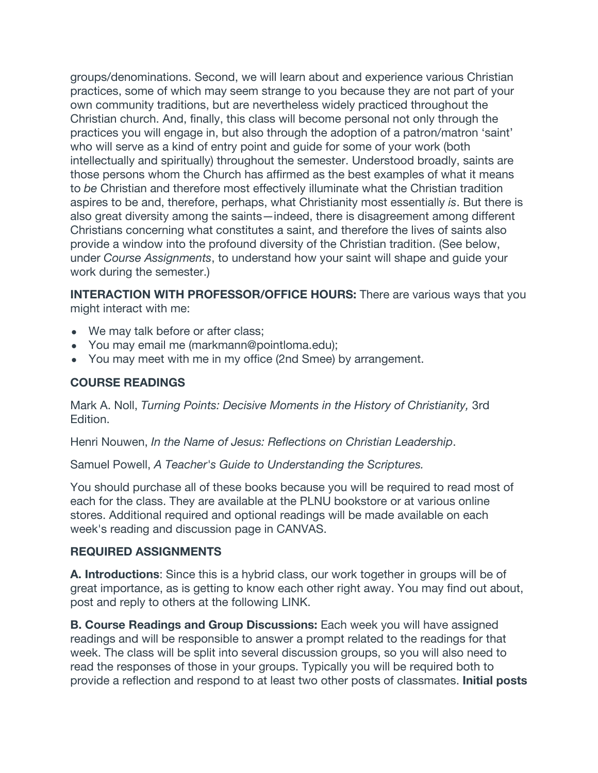groups/denominations. Second, we will learn about and experience various Christian practices, some of which may seem strange to you because they are not part of your own community traditions, but are nevertheless widely practiced throughout the Christian church. And, finally, this class will become personal not only through the practices you will engage in, but also through the adoption of a patron/matron 'saint' who will serve as a kind of entry point and guide for some of your work (both intellectually and spiritually) throughout the semester. Understood broadly, saints are those persons whom the Church has affirmed as the best examples of what it means to *be* Christian and therefore most effectively illuminate what the Christian tradition aspires to be and, therefore, perhaps, what Christianity most essentially *is*. But there is also great diversity among the saints—indeed, there is disagreement among different Christians concerning what constitutes a saint, and therefore the lives of saints also provide a window into the profound diversity of the Christian tradition. (See below, under *Course Assignments*, to understand how your saint will shape and guide your work during the semester.)

**INTERACTION WITH PROFESSOR/OFFICE HOURS:** There are various ways that you might interact with me:

- We may talk before or after class;
- You may email me (markmann@pointloma.edu);
- You may meet with me in my office (2nd Smee) by arrangement.

### **COURSE READINGS**

Mark A. Noll, *Turning Points: Decisive Moments in the History of Christianity,* 3rd Edition.

Henri Nouwen, *In the Name of Jesus: Reflections on Christian Leadership*.

Samuel Powell, *A Teacher's Guide to Understanding the Scriptures.*

You should purchase all of these books because you will be required to read most of each for the class. They are available at the PLNU bookstore or at various online stores. Additional required and optional readings will be made available on each week's reading and discussion page in CANVAS.

#### **REQUIRED ASSIGNMENTS**

**A. Introductions**: Since this is a hybrid class, our work together in groups will be of great importance, as is getting to know each other right away. You may find out about, post and reply to others at the following LINK.

**B. Course Readings and Group Discussions:** Each week you will have assigned readings and will be responsible to answer a prompt related to the readings for that week. The class will be split into several discussion groups, so you will also need to read the responses of those in your groups. Typically you will be required both to provide a reflection and respond to at least two other posts of classmates. **Initial posts**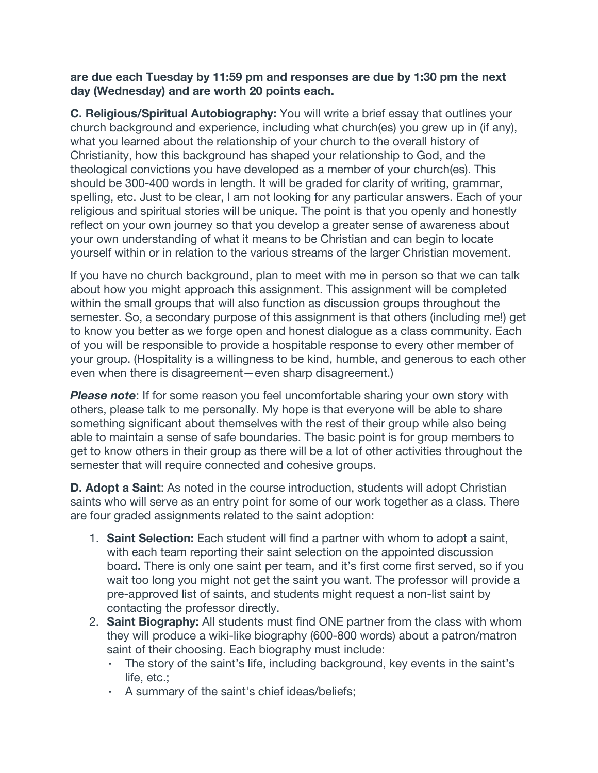#### **are due each Tuesday by 11:59 pm and responses are due by 1:30 pm the next day (Wednesday) and are worth 20 points each.**

**C. Religious/Spiritual Autobiography:** You will write a brief essay that outlines your church background and experience, including what church(es) you grew up in (if any), what you learned about the relationship of your church to the overall history of Christianity, how this background has shaped your relationship to God, and the theological convictions you have developed as a member of your church(es). This should be 300-400 words in length. It will be graded for clarity of writing, grammar, spelling, etc. Just to be clear, I am not looking for any particular answers. Each of your religious and spiritual stories will be unique. The point is that you openly and honestly reflect on your own journey so that you develop a greater sense of awareness about your own understanding of what it means to be Christian and can begin to locate yourself within or in relation to the various streams of the larger Christian movement.

If you have no church background, plan to meet with me in person so that we can talk about how you might approach this assignment. This assignment will be completed within the small groups that will also function as discussion groups throughout the semester. So, a secondary purpose of this assignment is that others (including me!) get to know you better as we forge open and honest dialogue as a class community. Each of you will be responsible to provide a hospitable response to every other member of your group. (Hospitality is a willingness to be kind, humble, and generous to each other even when there is disagreement—even sharp disagreement.)

*Please note*: If for some reason you feel uncomfortable sharing your own story with others, please talk to me personally. My hope is that everyone will be able to share something significant about themselves with the rest of their group while also being able to maintain a sense of safe boundaries. The basic point is for group members to get to know others in their group as there will be a lot of other activities throughout the semester that will require connected and cohesive groups.

**D. Adopt a Saint**: As noted in the course introduction, students will adopt Christian saints who will serve as an entry point for some of our work together as a class. There are four graded assignments related to the saint adoption:

- 1. **Saint Selection:** Each student will find a partner with whom to adopt a saint, with each team reporting their saint selection on the appointed discussion board**.** There is only one saint per team, and it's first come first served, so if you wait too long you might not get the saint you want. The professor will provide a pre-approved list of saints, and students might request a non-list saint by contacting the professor directly.
- 2. **Saint Biography:** All students must find ONE partner from the class with whom they will produce a wiki-like biography (600-800 words) about a patron/matron saint of their choosing. Each biography must include:
	- The story of the saint's life, including background, key events in the saint's life, etc.;
	- A summary of the saint's chief ideas/beliefs;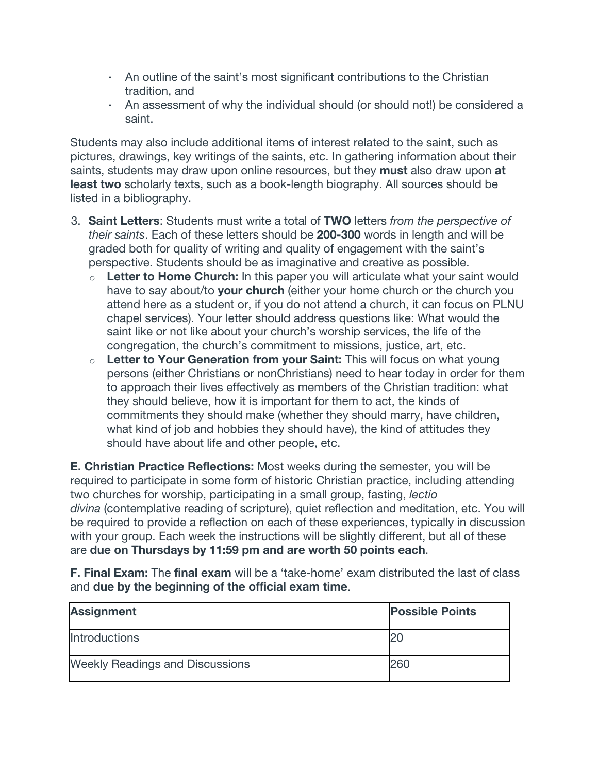- An outline of the saint's most significant contributions to the Christian tradition, and
- An assessment of why the individual should (or should not!) be considered a saint.

Students may also include additional items of interest related to the saint, such as pictures, drawings, key writings of the saints, etc. In gathering information about their saints, students may draw upon online resources, but they **must** also draw upon **at least two** scholarly texts, such as a book-length biography. All sources should be listed in a bibliography.

- 3. **Saint Letters**: Students must write a total of **TWO** letters *from the perspective of their saints*. Each of these letters should be **200-300** words in length and will be graded both for quality of writing and quality of engagement with the saint's perspective. Students should be as imaginative and creative as possible.
	- <sup>o</sup> **Letter to Home Church:** In this paper you will articulate what your saint would have to say about/to **your church** (either your home church or the church you attend here as a student or, if you do not attend a church, it can focus on PLNU chapel services). Your letter should address questions like: What would the saint like or not like about your church's worship services, the life of the congregation, the church's commitment to missions, justice, art, etc.
	- <sup>o</sup> **Letter to Your Generation from your Saint:** This will focus on what young persons (either Christians or nonChristians) need to hear today in order for them to approach their lives effectively as members of the Christian tradition: what they should believe, how it is important for them to act, the kinds of commitments they should make (whether they should marry, have children, what kind of job and hobbies they should have), the kind of attitudes they should have about life and other people, etc.

**E. Christian Practice Reflections:** Most weeks during the semester, you will be required to participate in some form of historic Christian practice, including attending two churches for worship, participating in a small group, fasting, *lectio divina* (contemplative reading of scripture), quiet reflection and meditation, etc. You will be required to provide a reflection on each of these experiences, typically in discussion with your group. Each week the instructions will be slightly different, but all of these are **due on Thursdays by 11:59 pm and are worth 50 points each**.

**F. Final Exam:** The **final exam** will be a 'take-home' exam distributed the last of class and **due by the beginning of the official exam time**.

| <b>Assignment</b>                      | <b>Possible Points</b> |
|----------------------------------------|------------------------|
| <b>Introductions</b>                   | 20                     |
| <b>Weekly Readings and Discussions</b> | 260                    |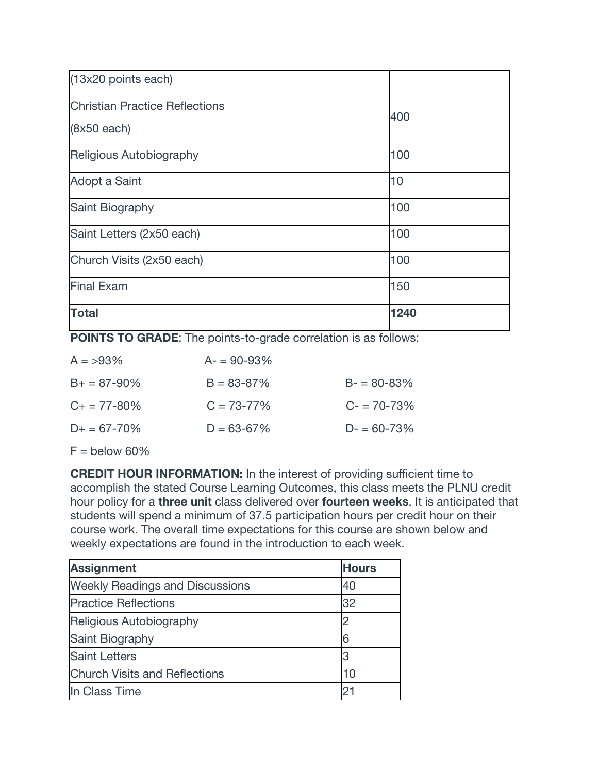| (13x20 points each)                   |      |
|---------------------------------------|------|
| <b>Christian Practice Reflections</b> | 400  |
| $(8x50$ each)                         |      |
| Religious Autobiography               | 100  |
| Adopt a Saint                         | 10   |
| Saint Biography                       | 100  |
| Saint Letters (2x50 each)             | 100  |
| Church Visits (2x50 each)             | 100  |
| <b>Final Exam</b>                     | 150  |
| <b>Total</b>                          | 1240 |

**POINTS TO GRADE**: The points-to-grade correlation is as follows:

| $A = 93\%$          | $A = 90 - 93\%$ |                 |
|---------------------|-----------------|-----------------|
| $B_+ = 87 - 90\%$   | $B = 83 - 87%$  | $B - 80 - 83%$  |
| $C_{+} = 77 - 80\%$ | $C = 73 - 77\%$ | $C = 70 - 73\%$ |
| $D+ = 67 - 70\%$    | $D = 63 - 67\%$ | $D = 60 - 73\%$ |
|                     |                 |                 |

 $F =$  below 60%

**CREDIT HOUR INFORMATION:** In the interest of providing sufficient time to accomplish the stated Course Learning Outcomes, this class meets the PLNU credit hour policy for a **three unit** class delivered over **fourteen weeks**. It is anticipated that students will spend a minimum of 37.5 participation hours per credit hour on their course work. The overall time expectations for this course are shown below and weekly expectations are found in the introduction to each week.

| <b>Assignment</b>                      | <b>Hours</b> |
|----------------------------------------|--------------|
| <b>Weekly Readings and Discussions</b> | 40           |
| <b>Practice Reflections</b>            | 32           |
| Religious Autobiography                | 2            |
| Saint Biography                        | 6            |
| <b>Saint Letters</b>                   | 3            |
| <b>Church Visits and Reflections</b>   | 10           |
| In Class Time                          | 21           |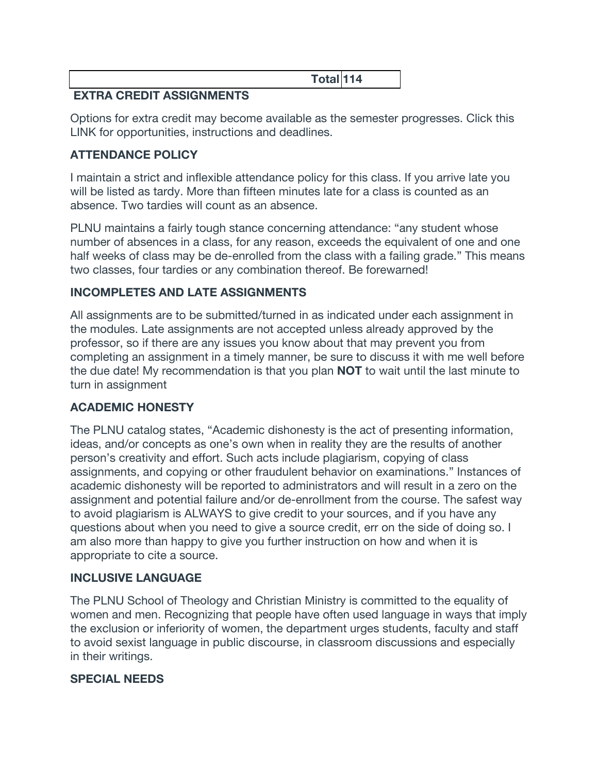**Total 114**

# **EXTRA CREDIT ASSIGNMENTS**

Options for extra credit may become available as the semester progresses. Click this LINK for opportunities, instructions and deadlines.

## **ATTENDANCE POLICY**

I maintain a strict and inflexible attendance policy for this class. If you arrive late you will be listed as tardy. More than fifteen minutes late for a class is counted as an absence. Two tardies will count as an absence.

PLNU maintains a fairly tough stance concerning attendance: "any student whose number of absences in a class, for any reason, exceeds the equivalent of one and one half weeks of class may be de-enrolled from the class with a failing grade." This means two classes, four tardies or any combination thereof. Be forewarned!

## **INCOMPLETES AND LATE ASSIGNMENTS**

All assignments are to be submitted/turned in as indicated under each assignment in the modules. Late assignments are not accepted unless already approved by the professor, so if there are any issues you know about that may prevent you from completing an assignment in a timely manner, be sure to discuss it with me well before the due date! My recommendation is that you plan **NOT** to wait until the last minute to turn in assignment

## **ACADEMIC HONESTY**

The PLNU catalog states, "Academic dishonesty is the act of presenting information, ideas, and/or concepts as one's own when in reality they are the results of another person's creativity and effort. Such acts include plagiarism, copying of class assignments, and copying or other fraudulent behavior on examinations." Instances of academic dishonesty will be reported to administrators and will result in a zero on the assignment and potential failure and/or de-enrollment from the course. The safest way to avoid plagiarism is ALWAYS to give credit to your sources, and if you have any questions about when you need to give a source credit, err on the side of doing so. I am also more than happy to give you further instruction on how and when it is appropriate to cite a source.

## **INCLUSIVE LANGUAGE**

The PLNU School of Theology and Christian Ministry is committed to the equality of women and men. Recognizing that people have often used language in ways that imply the exclusion or inferiority of women, the department urges students, faculty and staff to avoid sexist language in public discourse, in classroom discussions and especially in their writings.

## **SPECIAL NEEDS**